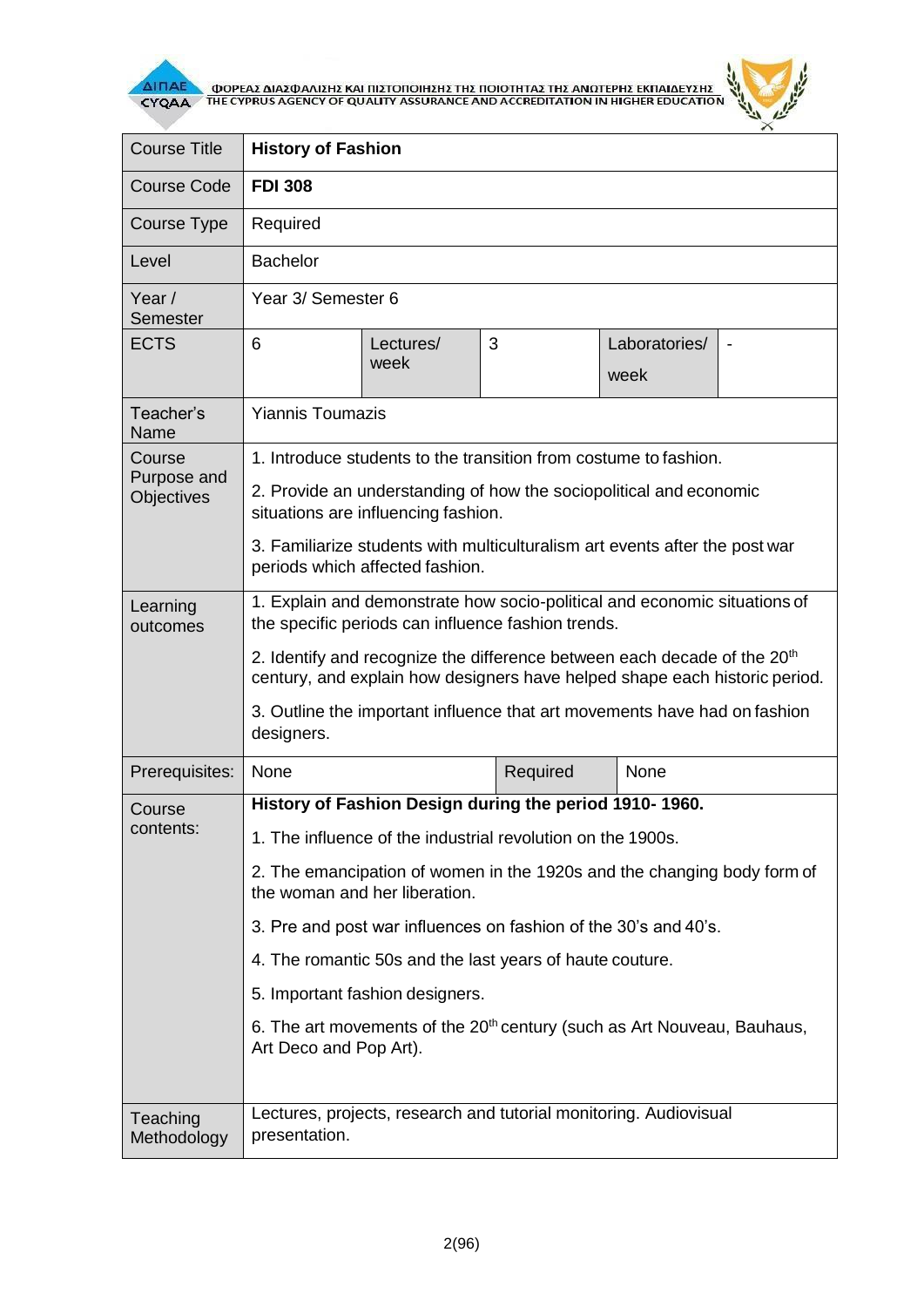

**AITIAE A OOPEAS AIAS DANISHS KAI TIISTOTOIHSHS THE TOIOTHTAS THE ANOTEPHS EKTIAIAEYSHS** 



| <b>Course Title</b>                        | <b>History of Fashion</b>                                                                                                                                          |                   |                                                                   |                       |  |  |
|--------------------------------------------|--------------------------------------------------------------------------------------------------------------------------------------------------------------------|-------------------|-------------------------------------------------------------------|-----------------------|--|--|
| <b>Course Code</b>                         | <b>FDI 308</b>                                                                                                                                                     |                   |                                                                   |                       |  |  |
| Course Type                                | Required                                                                                                                                                           |                   |                                                                   |                       |  |  |
| Level                                      | <b>Bachelor</b>                                                                                                                                                    |                   |                                                                   |                       |  |  |
| Year/<br>Semester                          | Year 3/ Semester 6                                                                                                                                                 |                   |                                                                   |                       |  |  |
| <b>ECTS</b>                                | 6                                                                                                                                                                  | Lectures/<br>week | 3                                                                 | Laboratories/<br>week |  |  |
| Teacher's<br>Name                          | <b>Yiannis Toumazis</b>                                                                                                                                            |                   |                                                                   |                       |  |  |
| Course<br>Purpose and<br><b>Objectives</b> | 1. Introduce students to the transition from costume to fashion.                                                                                                   |                   |                                                                   |                       |  |  |
|                                            | 2. Provide an understanding of how the sociopolitical and economic<br>situations are influencing fashion.                                                          |                   |                                                                   |                       |  |  |
|                                            | 3. Familiarize students with multiculturalism art events after the post war<br>periods which affected fashion.                                                     |                   |                                                                   |                       |  |  |
| Learning<br>outcomes                       | 1. Explain and demonstrate how socio-political and economic situations of<br>the specific periods can influence fashion trends.                                    |                   |                                                                   |                       |  |  |
|                                            | 2. Identify and recognize the difference between each decade of the 20 <sup>th</sup><br>century, and explain how designers have helped shape each historic period. |                   |                                                                   |                       |  |  |
|                                            | 3. Outline the important influence that art movements have had on fashion<br>designers.                                                                            |                   |                                                                   |                       |  |  |
| Prerequisites:                             | None                                                                                                                                                               |                   | Required                                                          | None                  |  |  |
| Course<br>contents:                        | History of Fashion Design during the period 1910-1960.                                                                                                             |                   |                                                                   |                       |  |  |
|                                            | 1. The influence of the industrial revolution on the 1900s.                                                                                                        |                   |                                                                   |                       |  |  |
|                                            | 2. The emancipation of women in the 1920s and the changing body form of<br>the woman and her liberation.                                                           |                   |                                                                   |                       |  |  |
|                                            | 3. Pre and post war influences on fashion of the 30's and 40's.                                                                                                    |                   |                                                                   |                       |  |  |
|                                            | 4. The romantic 50s and the last years of haute couture.                                                                                                           |                   |                                                                   |                       |  |  |
|                                            | 5. Important fashion designers.                                                                                                                                    |                   |                                                                   |                       |  |  |
|                                            | 6. The art movements of the 20 <sup>th</sup> century (such as Art Nouveau, Bauhaus,<br>Art Deco and Pop Art).                                                      |                   |                                                                   |                       |  |  |
|                                            |                                                                                                                                                                    |                   |                                                                   |                       |  |  |
| Teaching<br>Methodology                    | presentation.                                                                                                                                                      |                   | Lectures, projects, research and tutorial monitoring. Audiovisual |                       |  |  |